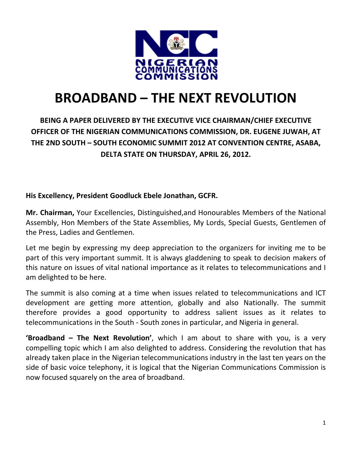

# **BROADBAND – THE NEXT REVOLUTION**

# **BEING A PAPER DELIVERED BY THE EXECUTIVE VICE CHAIRMAN/CHIEF EXECUTIVE OFFICER OF THE NIGERIAN COMMUNICATIONS COMMISSION, DR. EUGENE JUWAH, AT THE 2ND SOUTH – SOUTH ECONOMIC SUMMIT 2012 AT CONVENTION CENTRE, ASABA, DELTA STATE ON THURSDAY, APRIL 26, 2012.**

### **His Excellency, President Goodluck Ebele Jonathan, GCFR.**

**Mr. Chairman,** Your Excellencies, Distinguished,and Honourables Members of the National Assembly, Hon Members of the State Assemblies, My Lords, Special Guests, Gentlemen of the Press, Ladies and Gentlemen.

Let me begin by expressing my deep appreciation to the organizers for inviting me to be part of this very important summit. It is always gladdening to speak to decision makers of this nature on issues of vital national importance as it relates to telecommunications and I am delighted to be here.

The summit is also coming at a time when issues related to telecommunications and ICT development are getting more attention, globally and also Nationally. The summit therefore provides a good opportunity to address salient issues as it relates to telecommunications in the South ‐ South zones in particular, and Nigeria in general.

**'Broadband – The Next Revolution'**, which I am about to share with you, is a very compelling topic which I am also delighted to address. Considering the revolution that has already taken place in the Nigerian telecommunications industry in the last ten years on the side of basic voice telephony, it is logical that the Nigerian Communications Commission is now focused squarely on the area of broadband.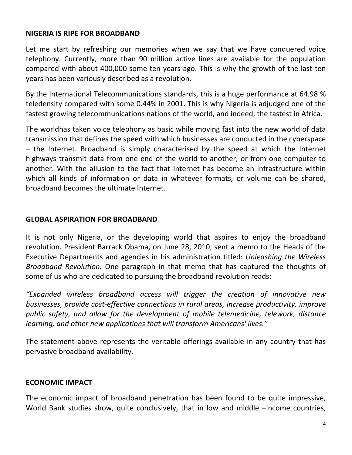#### **NIGERIA IS RIPE FOR BROADBAND**

Let me start by refreshing our memories when we say that we have conquered voice telephony. Currently, more than 90 million active lines are available for the population compared with about 400,000 some ten years ago. This is why the growth of the last ten years has been variously described as a revolution.

By the International Telecommunications standards, this is a huge performance at 64.98 % teledensity compared with some 0.44% in 2001. This is why Nigeria is adjudged one of the fastest growing telecommunications nations of the world, and indeed, the fastest in Africa.

The worldhas taken voice telephony as basic while moving fast into the new world of data transmission that defines the speed with which businesses are conducted in the cyberspace – the Internet. Broadband is simply characterised by the speed at which the Internet highways transmit data from one end of the world to another, or from one computer to another. With the allusion to the fact that Internet has become an infrastructure within which all kinds of information or data in whatever formats, or volume can be shared, broadband becomes the ultimate Internet.

#### **GLOBAL ASPIRATION FOR BROADBAND**

It is not only Nigeria, or the developing world that aspires to enjoy the broadband revolution. President Barrack Obama, on June 28, 2010, sent a memo to the Heads of the Executive Departments and agencies in his administration titled: *Unleashing the Wireless Broadband Revolution.* One paragraph in that memo that has captured the thoughts of some of us who are dedicated to pursuing the broadband revolution reads:

*"Expanded wireless broadband access will trigger the creation of innovative new businesses, provide cost‐effective connections in rural areas, increase productivity, improve public safety, and allow for the development of mobile telemedicine, telework, distance learning, and other new applications that will transform Americans' lives."*

The statement above represents the veritable offerings available in any country that has pervasive broadband availability.

#### **ECONOMIC IMPACT**

The economic impact of broadband penetration has been found to be quite impressive, World Bank studies show, quite conclusively, that in low and middle –income countries,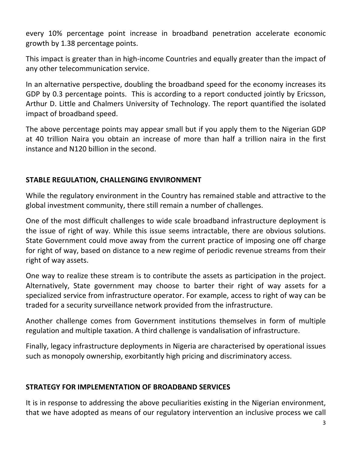every 10% percentage point increase in broadband penetration accelerate economic growth by 1.38 percentage points.

This impact is greater than in high‐income Countries and equally greater than the impact of any other telecommunication service.

In an alternative perspective, doubling the broadband speed for the economy increases its GDP by 0.3 percentage points. This is according to a report conducted jointly by Ericsson, Arthur D. Little and Chalmers University of Technology. The report quantified the isolated impact of broadband speed.

The above percentage points may appear small but if you apply them to the Nigerian GDP at 40 trillion Naira you obtain an increase of more than half a trillion naira in the first instance and N120 billion in the second.

# **STABLE REGULATION, CHALLENGING ENVIRONMENT**

While the regulatory environment in the Country has remained stable and attractive to the global investment community, there still remain a number of challenges.

One of the most difficult challenges to wide scale broadband infrastructure deployment is the issue of right of way. While this issue seems intractable, there are obvious solutions. State Government could move away from the current practice of imposing one off charge for right of way, based on distance to a new regime of periodic revenue streams from their right of way assets.

One way to realize these stream is to contribute the assets as participation in the project. Alternatively, State government may choose to barter their right of way assets for a specialized service from infrastructure operator. For example, access to right of way can be traded for a security surveillance network provided from the infrastructure.

Another challenge comes from Government institutions themselves in form of multiple regulation and multiple taxation. A third challenge is vandalisation of infrastructure.

Finally, legacy infrastructure deployments in Nigeria are characterised by operational issues such as monopoly ownership, exorbitantly high pricing and discriminatory access.

# **STRATEGY FOR IMPLEMENTATION OF BROADBAND SERVICES**

It is in response to addressing the above peculiarities existing in the Nigerian environment, that we have adopted as means of our regulatory intervention an inclusive process we call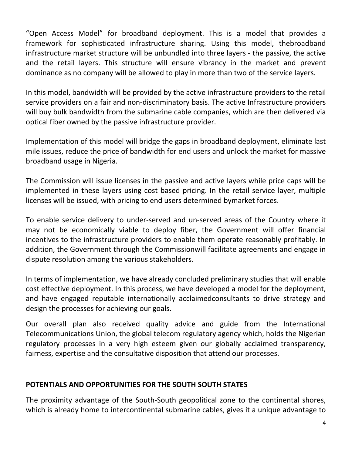"Open Access Model" for broadband deployment. This is a model that provides a framework for sophisticated infrastructure sharing. Using this model, thebroadband infrastructure market structure will be unbundled into three layers ‐ the passive, the active and the retail layers. This structure will ensure vibrancy in the market and prevent dominance as no company will be allowed to play in more than two of the service layers.

In this model, bandwidth will be provided by the active infrastructure providers to the retail service providers on a fair and non-discriminatory basis. The active Infrastructure providers will buy bulk bandwidth from the submarine cable companies, which are then delivered via optical fiber owned by the passive infrastructure provider.

Implementation of this model will bridge the gaps in broadband deployment, eliminate last mile issues, reduce the price of bandwidth for end users and unlock the market for massive broadband usage in Nigeria.

The Commission will issue licenses in the passive and active layers while price caps will be implemented in these layers using cost based pricing. In the retail service layer, multiple licenses will be issued, with pricing to end users determined bymarket forces.

To enable service delivery to under‐served and un‐served areas of the Country where it may not be economically viable to deploy fiber, the Government will offer financial incentives to the infrastructure providers to enable them operate reasonably profitably. In addition, the Government through the Commissionwill facilitate agreements and engage in dispute resolution among the various stakeholders.

In terms of implementation, we have already concluded preliminary studies that will enable cost effective deployment. In this process, we have developed a model for the deployment, and have engaged reputable internationally acclaimedconsultants to drive strategy and design the processes for achieving our goals.

Our overall plan also received quality advice and guide from the International Telecommunications Union, the global telecom regulatory agency which, holds the Nigerian regulatory processes in a very high esteem given our globally acclaimed transparency, fairness, expertise and the consultative disposition that attend our processes.

# **POTENTIALS AND OPPORTUNITIES FOR THE SOUTH SOUTH STATES**

The proximity advantage of the South‐South geopolitical zone to the continental shores, which is already home to intercontinental submarine cables, gives it a unique advantage to